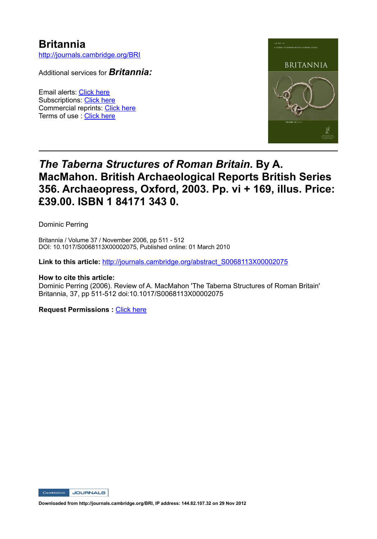## **Britannia**

http://journals.cambridge.org/BRI

Additional services for *Britannia:*

Email alerts: Click here Subscriptions: Click here Commercial reprints: Click here Terms of use : Click here



## *The Taberna Structures of Roman Britain***. By A. MacMahon. British Archaeological Reports British Series 356. Archaeopress, Oxford, 2003. Pp. vi + 169, illus. Price: £39.00. ISBN 1 84171 343 0.**

Dominic Perring

Britannia / Volume 37 / November 2006, pp 511 - 512 DOI: 10.1017/S0068113X00002075, Published online: 01 March 2010

**Link to this article:** http://journals.cambridge.org/abstract\_S0068113X00002075

## **How to cite this article:**

Dominic Perring (2006). Review of A. MacMahon 'The Taberna Structures of Roman Britain' Britannia, 37, pp 511-512 doi:10.1017/S0068113X00002075

**Request Permissions :** Click here

CAMBRIDGE JOURNALS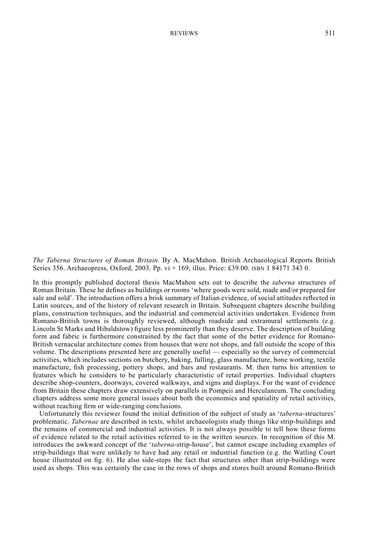**REVIEWS** 

The Taberna Structures of Roman Britain. By A. MacMahon. British Archaeological Reports British Series 356. Archaeopress, Oxford, 2003. Pp. vi + 169, illus. Price: £39.00. ISBN 1 84171 343 0.

In this promptly published doctoral thesis MacMahon sets out to describe the *taberna* structures of Roman Britain. These he defines as buildings or rooms 'where goods were sold, made and/or prepared for sale and sold'. The introduction offers a brisk summary of Italian evidence, of social attitudes reflected in Latin sources, and of the history of relevant research in Britain. Subsequent chapters describe building plans, construction techniques, and the industrial and commercial activities undertaken. Evidence from Romano-British towns is thoroughly reviewed, although roadside and extramural settlements (e.g. Lincoln St Marks and Hibaldstow) figure less prominently than they deserve. The description of building form and fabric is furthermore constrained by the fact that some of the better evidence for Romano-British vernacular architecture comes from houses that were not shops, and fall outside the scope of this volume. The descriptions presented here are generally useful — especially so the survey of commercial activities, which includes sections on butchery, baking, fulling, glass manufacture, bone working, textile manufacture, fish processing, pottery shops, and bars and restaurants. M. then turns his attention to features which he considers to be particularly characteristic of retail properties. Individual chapters describe shop-counters, doorways, covered walkways, and signs and displays. For the want of evidence from Britain these chapters draw extensively on parallels in Pompeii and Herculaneum. The concluding chapters address some more general issues about both the economics and spatiality of retail activities, without reaching firm or wide-ranging conclusions.

Unfortunately this reviewer found the initial definition of the subject of study as 'taberna-structures' problematic. Tabernae are described in texts, whilst archaeologists study things like strip-buildings and the remains of commercial and industrial activities. It is not always possible to tell how these forms of evidence related to the retail activities referred to in the written sources. In recognition of this M. introduces the awkward concept of the 'taberna-strip-house', but cannot escape including examples of strip-buildings that were unlikely to have had any retail or industrial function (e.g. the Watling Court house illustrated on fig. 6). He also side-steps the fact that structures other than strip-buildings were used as shops. This was certainly the case in the rows of shops and stores built around Romano-British